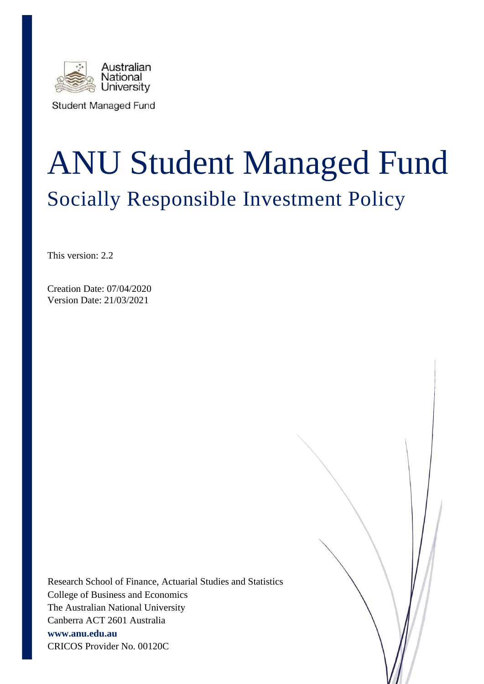

**Student Managed Fund** 

# ANU Student Managed Fund Socially Responsible Investment Policy

This version: 2.2

Creation Date: 07/04/2020 Version Date: 21/03/2021

Research School of Finance, Actuarial Studies and Statistics College of Business and Economics The Australian National University Canberra ACT 2601 Australia **www.anu.edu.au** CRICOS Provider No. 00120C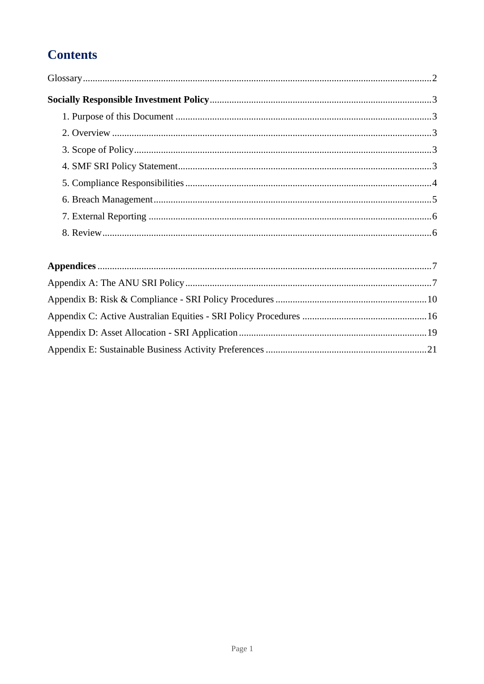# **Contents**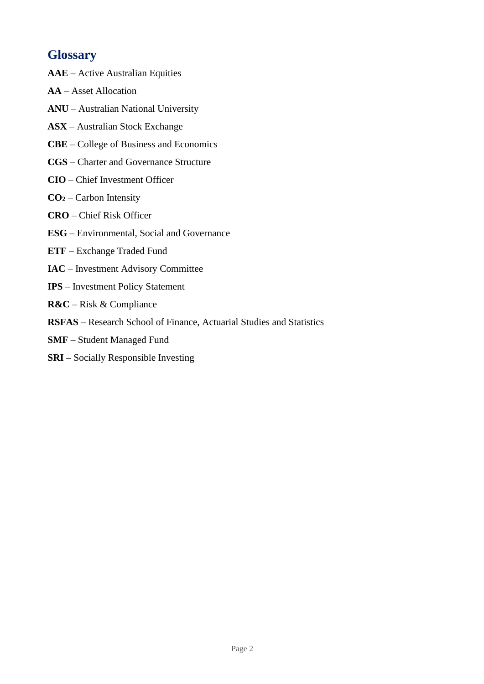## **Glossary**

- **AAE**  Active Australian Equities
- **AA** Asset Allocation
- **ANU**  Australian National University
- **ASX**  Australian Stock Exchange
- **CBE**  College of Business and Economics
- **CGS**  Charter and Governance Structure
- **CIO** Chief Investment Officer
- **CO<sup>2</sup>** Carbon Intensity
- **CRO** Chief Risk Officer
- **ESG** Environmental, Social and Governance
- **ETF** Exchange Traded Fund
- **IAC** Investment Advisory Committee
- **IPS**  Investment Policy Statement
- **R&C** Risk & Compliance
- **RSFAS** Research School of Finance, Actuarial Studies and Statistics
- **SMF –** Student Managed Fund
- **SRI –** Socially Responsible Investing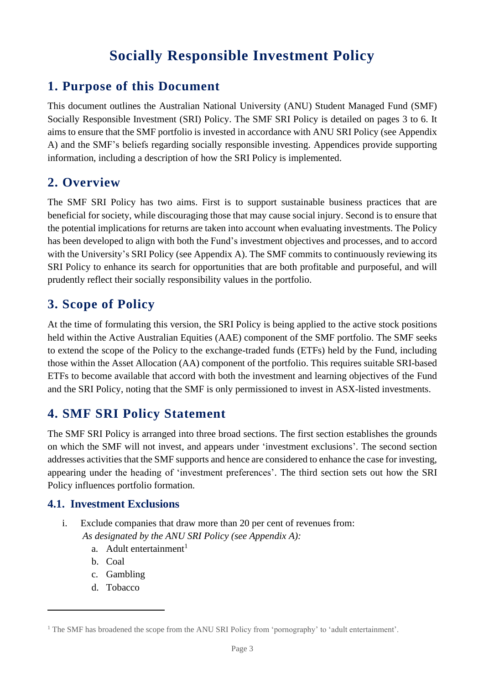# **Socially Responsible Investment Policy**

# <span id="page-3-1"></span><span id="page-3-0"></span>**1. Purpose of this Document**

This document outlines the Australian National University (ANU) Student Managed Fund (SMF) Socially Responsible Investment (SRI) Policy. The SMF SRI Policy is detailed on pages 3 to 6. It aims to ensure that the SMF portfolio is invested in accordance with ANU SRI Policy (see Appendix A) and the SMF's beliefs regarding socially responsible investing. Appendices provide supporting information, including a description of how the SRI Policy is implemented.

## <span id="page-3-2"></span>**2. Overview**

The SMF SRI Policy has two aims. First is to support sustainable business practices that are beneficial for society, while discouraging those that may cause social injury. Second is to ensure that the potential implications for returns are taken into account when evaluating investments. The Policy has been developed to align with both the Fund's investment objectives and processes, and to accord with the University's SRI Policy (see Appendix A). The SMF commits to continuously reviewing its SRI Policy to enhance its search for opportunities that are both profitable and purposeful, and will prudently reflect their socially responsibility values in the portfolio.

# <span id="page-3-3"></span>**3. Scope of Policy**

At the time of formulating this version, the SRI Policy is being applied to the active stock positions held within the Active Australian Equities (AAE) component of the SMF portfolio. The SMF seeks to extend the scope of the Policy to the exchange-traded funds (ETFs) held by the Fund, including those within the Asset Allocation (AA) component of the portfolio. This requires suitable SRI-based ETFs to become available that accord with both the investment and learning objectives of the Fund and the SRI Policy, noting that the SMF is only permissioned to invest in ASX-listed investments.

## <span id="page-3-4"></span>**4. SMF SRI Policy Statement**

The SMF SRI Policy is arranged into three broad sections. The first section establishes the grounds on which the SMF will not invest, and appears under 'investment exclusions'. The second section addresses activities that the SMF supports and hence are considered to enhance the case for investing, appearing under the heading of 'investment preferences'. The third section sets out how the SRI Policy influences portfolio formation.

## **4.1. Investment Exclusions**

- i. Exclude companies that draw more than 20 per cent of revenues from: *As designated by the ANU SRI Policy (see Appendix A):*
	- a. Adult entertainment $<sup>1</sup>$ </sup>
	- b. Coal
	- c. Gambling
	- d. Tobacco

<sup>&</sup>lt;sup>1</sup> The SMF has broadened the scope from the ANU SRI Policy from 'pornography' to 'adult entertainment'.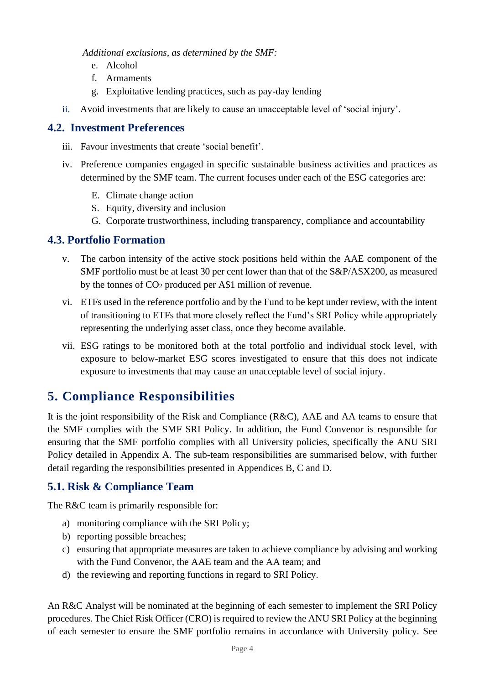*Additional exclusions, as determined by the SMF:*

- e. Alcohol
- f. Armaments
- g. Exploitative lending practices, such as pay-day lending
- ii. Avoid investments that are likely to cause an unacceptable level of 'social injury'.

#### **4.2. Investment Preferences**

- iii. Favour investments that create 'social benefit'.
- iv. Preference companies engaged in specific sustainable business activities and practices as determined by the SMF team. The current focuses under each of the ESG categories are:
	- E. Climate change action
	- S. Equity, diversity and inclusion
	- G. Corporate trustworthiness, including transparency, compliance and accountability

#### **4.3. Portfolio Formation**

- v. The carbon intensity of the active stock positions held within the AAE component of the SMF portfolio must be at least 30 per cent lower than that of the S&P/ASX200, as measured by the tonnes of CO<sup>2</sup> produced per A\$1 million of revenue.
- vi. ETFs used in the reference portfolio and by the Fund to be kept under review, with the intent of transitioning to ETFs that more closely reflect the Fund's SRI Policy while appropriately representing the underlying asset class, once they become available.
- vii. ESG ratings to be monitored both at the total portfolio and individual stock level, with exposure to below-market ESG scores investigated to ensure that this does not indicate exposure to investments that may cause an unacceptable level of social injury.

# <span id="page-4-0"></span>**5. Compliance Responsibilities**

It is the joint responsibility of the Risk and Compliance (R&C), AAE and AA teams to ensure that the SMF complies with the SMF SRI Policy. In addition, the Fund Convenor is responsible for ensuring that the SMF portfolio complies with all University policies, specifically the ANU SRI Policy detailed in Appendix A. The sub-team responsibilities are summarised below, with further detail regarding the responsibilities presented in Appendices B, C and D.

## **5.1. Risk & Compliance Team**

The R&C team is primarily responsible for:

- a) monitoring compliance with the SRI Policy;
- b) reporting possible breaches;
- c) ensuring that appropriate measures are taken to achieve compliance by advising and working with the Fund Convenor, the AAE team and the AA team; and
- d) the reviewing and reporting functions in regard to SRI Policy.

An R&C Analyst will be nominated at the beginning of each semester to implement the SRI Policy procedures. The Chief Risk Officer (CRO) is required to review the ANU SRI Policy at the beginning of each semester to ensure the SMF portfolio remains in accordance with University policy. See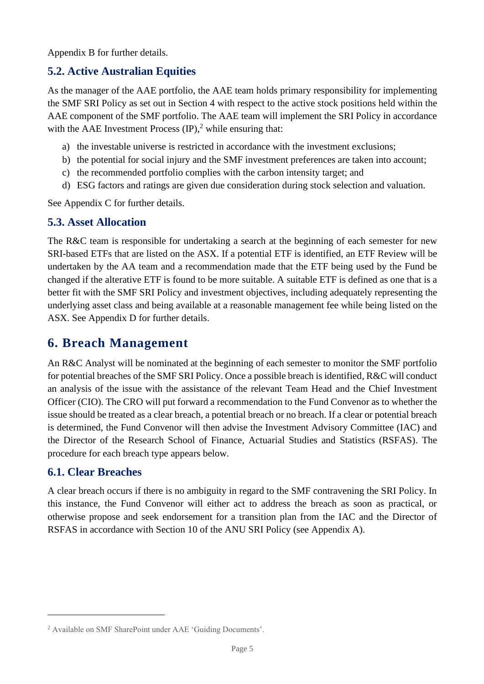Appendix B for further details.

## **5.2. Active Australian Equities**

As the manager of the AAE portfolio, the AAE team holds primary responsibility for implementing the SMF SRI Policy as set out in Section 4 with respect to the active stock positions held within the AAE component of the SMF portfolio. The AAE team will implement the SRI Policy in accordance with the AAE Investment Process  $(\text{IP})$ , while ensuring that:

- a) the investable universe is restricted in accordance with the investment exclusions;
- b) the potential for social injury and the SMF investment preferences are taken into account;
- c) the recommended portfolio complies with the carbon intensity target; and
- d) ESG factors and ratings are given due consideration during stock selection and valuation.

See Appendix C for further details.

#### **5.3. Asset Allocation**

The R&C team is responsible for undertaking a search at the beginning of each semester for new SRI-based ETFs that are listed on the ASX. If a potential ETF is identified, an ETF Review will be undertaken by the AA team and a recommendation made that the ETF being used by the Fund be changed if the alterative ETF is found to be more suitable. A suitable ETF is defined as one that is a better fit with the SMF SRI Policy and investment objectives, including adequately representing the underlying asset class and being available at a reasonable management fee while being listed on the ASX. See Appendix D for further details.

## <span id="page-5-0"></span>**6. Breach Management**

An R&C Analyst will be nominated at the beginning of each semester to monitor the SMF portfolio for potential breaches of the SMF SRI Policy. Once a possible breach is identified, R&C will conduct an analysis of the issue with the assistance of the relevant Team Head and the Chief Investment Officer (CIO). The CRO will put forward a recommendation to the Fund Convenor as to whether the issue should be treated as a clear breach, a potential breach or no breach. If a clear or potential breach is determined, the Fund Convenor will then advise the Investment Advisory Committee (IAC) and the Director of the Research School of Finance, Actuarial Studies and Statistics (RSFAS). The procedure for each breach type appears below.

#### **6.1. Clear Breaches**

A clear breach occurs if there is no ambiguity in regard to the SMF contravening the SRI Policy. In this instance, the Fund Convenor will either act to address the breach as soon as practical, or otherwise propose and seek endorsement for a transition plan from the IAC and the Director of RSFAS in accordance with Section 10 of the ANU SRI Policy (see Appendix A).

<sup>2</sup> Available on SMF SharePoint under AAE 'Guiding Documents'.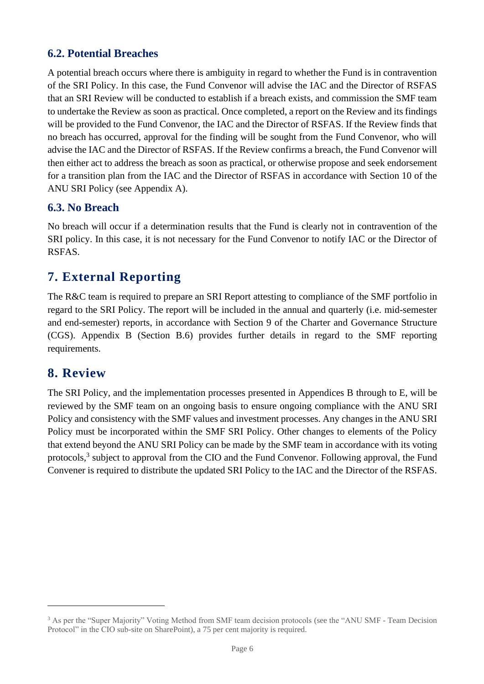## **6.2. Potential Breaches**

A potential breach occurs where there is ambiguity in regard to whether the Fund is in contravention of the SRI Policy. In this case, the Fund Convenor will advise the IAC and the Director of RSFAS that an SRI Review will be conducted to establish if a breach exists, and commission the SMF team to undertake the Review as soon as practical. Once completed, a report on the Review and its findings will be provided to the Fund Convenor, the IAC and the Director of RSFAS. If the Review finds that no breach has occurred, approval for the finding will be sought from the Fund Convenor, who will advise the IAC and the Director of RSFAS. If the Review confirms a breach, the Fund Convenor will then either act to address the breach as soon as practical, or otherwise propose and seek endorsement for a transition plan from the IAC and the Director of RSFAS in accordance with Section 10 of the ANU SRI Policy (see Appendix A).

#### **6.3. No Breach**

No breach will occur if a determination results that the Fund is clearly not in contravention of the SRI policy. In this case, it is not necessary for the Fund Convenor to notify IAC or the Director of RSFAS.

## <span id="page-6-0"></span>**7. External Reporting**

The R&C team is required to prepare an SRI Report attesting to compliance of the SMF portfolio in regard to the SRI Policy. The report will be included in the annual and quarterly (i.e. mid-semester and end-semester) reports, in accordance with Section 9 of the Charter and Governance Structure (CGS). Appendix B (Section B.6) provides further details in regard to the SMF reporting requirements.

## <span id="page-6-1"></span>**8. Review**

The SRI Policy, and the implementation processes presented in Appendices B through to E, will be reviewed by the SMF team on an ongoing basis to ensure ongoing compliance with the ANU SRI Policy and consistency with the SMF values and investment processes. Any changes in the ANU SRI Policy must be incorporated within the SMF SRI Policy. Other changes to elements of the Policy that extend beyond the ANU SRI Policy can be made by the SMF team in accordance with its voting protocols,<sup>3</sup> subject to approval from the CIO and the Fund Convenor. Following approval, the Fund Convener is required to distribute the updated SRI Policy to the IAC and the Director of the RSFAS.

<sup>3</sup> As per the "Super Majority" Voting Method from SMF team decision protocols (see the "ANU SMF - Team Decision Protocol" in the CIO sub-site on SharePoint), a 75 per cent majority is required.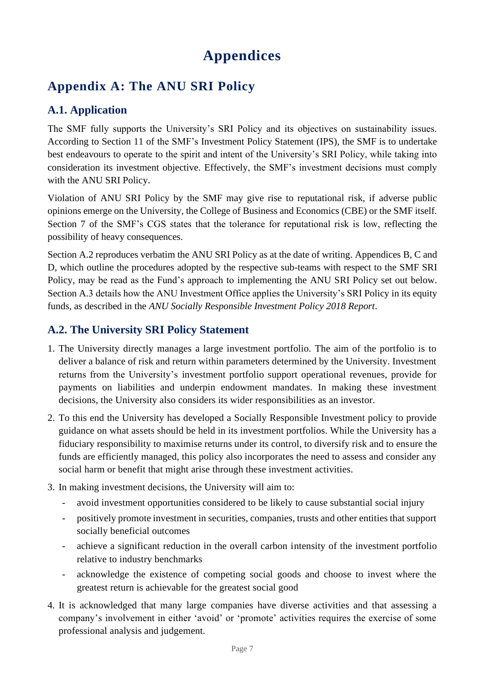# **Appendices**

# <span id="page-7-1"></span><span id="page-7-0"></span>**Appendix A: The ANU SRI Policy**

## **A.1. Application**

The SMF fully supports the University's SRI Policy and its objectives on sustainability issues. According to Section 11 of the SMF's Investment Policy Statement (IPS), the SMF is to undertake best endeavours to operate to the spirit and intent of the University's SRI Policy, while taking into consideration its investment objective. Effectively, the SMF's investment decisions must comply with the ANU SRI Policy.

Violation of ANU SRI Policy by the SMF may give rise to reputational risk, if adverse public opinions emerge on the University, the College of Business and Economics (CBE) or the SMF itself. Section 7 of the SMF's CGS states that the tolerance for reputational risk is low, reflecting the possibility of heavy consequences.

Section A.2 reproduces verbatim the ANU SRI Policy as at the date of writing. Appendices B, C and D, which outline the procedures adopted by the respective sub-teams with respect to the SMF SRI Policy, may be read as the Fund's approach to implementing the ANU SRI Policy set out below. Section A.3 details how the ANU Investment Office applies the University's SRI Policy in its equity funds, as described in the *ANU Socially Responsible Investment Policy 2018 Report*.

## **A.2. The University SRI Policy Statement**

- 1. The University directly manages a large investment portfolio. The aim of the portfolio is to deliver a balance of risk and return within parameters determined by the University. Investment returns from the University's investment portfolio support operational revenues, provide for payments on liabilities and underpin endowment mandates. In making these investment decisions, the University also considers its wider responsibilities as an investor.
- 2. To this end the University has developed a Socially Responsible Investment policy to provide guidance on what assets should be held in its investment portfolios. While the University has a fiduciary responsibility to maximise returns under its control, to diversify risk and to ensure the funds are efficiently managed, this policy also incorporates the need to assess and consider any social harm or benefit that might arise through these investment activities.
- 3. In making investment decisions, the University will aim to:
	- avoid investment opportunities considered to be likely to cause substantial social injury
	- positively promote investment in securities, companies, trusts and other entities that support socially beneficial outcomes
	- achieve a significant reduction in the overall carbon intensity of the investment portfolio relative to industry benchmarks
	- acknowledge the existence of competing social goods and choose to invest where the greatest return is achievable for the greatest social good
- 4. It is acknowledged that many large companies have diverse activities and that assessing a company's involvement in either 'avoid' or 'promote' activities requires the exercise of some professional analysis and judgement.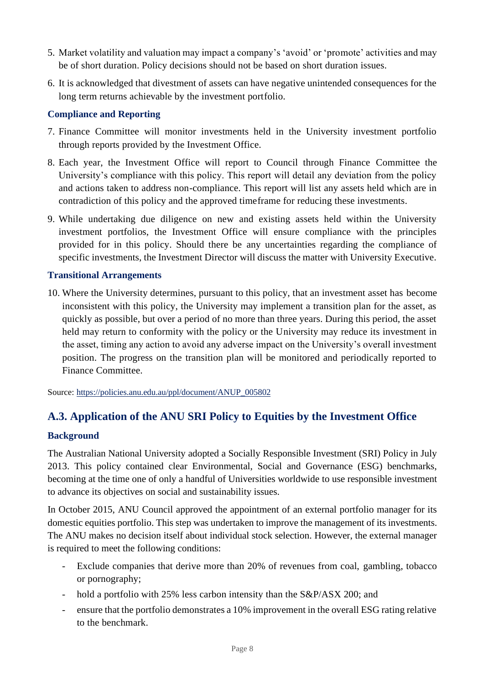- 5. Market volatility and valuation may impact a company's 'avoid' or 'promote' activities and may be of short duration. Policy decisions should not be based on short duration issues.
- 6. It is acknowledged that divestment of assets can have negative unintended consequences for the long term returns achievable by the investment portfolio.

#### **Compliance and Reporting**

- 7. Finance Committee will monitor investments held in the University investment portfolio through reports provided by the Investment Office.
- 8. Each year, the Investment Office will report to Council through Finance Committee the University's compliance with this policy. This report will detail any deviation from the policy and actions taken to address non-compliance. This report will list any assets held which are in contradiction of this policy and the approved timeframe for reducing these investments.
- 9. While undertaking due diligence on new and existing assets held within the University investment portfolios, the Investment Office will ensure compliance with the principles provided for in this policy. Should there be any uncertainties regarding the compliance of specific investments, the Investment Director will discuss the matter with University Executive.

#### **Transitional Arrangements**

10. Where the University determines, pursuant to this policy, that an investment asset has become inconsistent with this policy, the University may implement a transition plan for the asset, as quickly as possible, but over a period of no more than three years. During this period, the asset held may return to conformity with the policy or the University may reduce its investment in the asset, timing any action to avoid any adverse impact on the University's overall investment position. The progress on the transition plan will be monitored and periodically reported to Finance Committee.

Source: [https://policies.anu.edu.au/ppl/document/ANUP\\_005802](https://policies.anu.edu.au/ppl/document/ANUP_005802)

## **A.3. Application of the ANU SRI Policy to Equities by the Investment Office**

#### **Background**

The Australian National University adopted a Socially Responsible Investment (SRI) Policy in July 2013. This policy contained clear Environmental, Social and Governance (ESG) benchmarks, becoming at the time one of only a handful of Universities worldwide to use responsible investment to advance its objectives on social and sustainability issues.

In October 2015, ANU Council approved the appointment of an external portfolio manager for its domestic equities portfolio. This step was undertaken to improve the management of its investments. The ANU makes no decision itself about individual stock selection. However, the external manager is required to meet the following conditions:

- Exclude companies that derive more than 20% of revenues from coal, gambling, tobacco or pornography;
- hold a portfolio with 25% less carbon intensity than the S&P/ASX 200; and
- ensure that the portfolio demonstrates a 10% improvement in the overall ESG rating relative to the benchmark.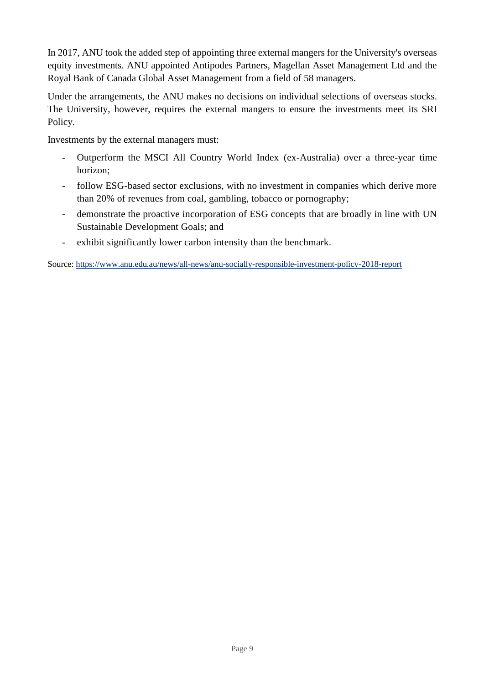In 2017, ANU took the added step of appointing three external mangers for the University's overseas equity investments. ANU appointed Antipodes Partners, Magellan Asset Management Ltd and the Royal Bank of Canada Global Asset Management from a field of 58 managers.

Under the arrangements, the ANU makes no decisions on individual selections of overseas stocks. The University, however, requires the external mangers to ensure the investments meet its SRI Policy.

Investments by the external managers must:

- Outperform the MSCI All Country World Index (ex-Australia) over a three-year time horizon;
- follow ESG-based sector exclusions, with no investment in companies which derive more than 20% of revenues from coal, gambling, tobacco or pornography;
- demonstrate the proactive incorporation of ESG concepts that are broadly in line with UN Sustainable Development Goals; and
- exhibit significantly lower carbon intensity than the benchmark.

Source:<https://www.anu.edu.au/news/all-news/anu-socially-responsible-investment-policy-2018-report>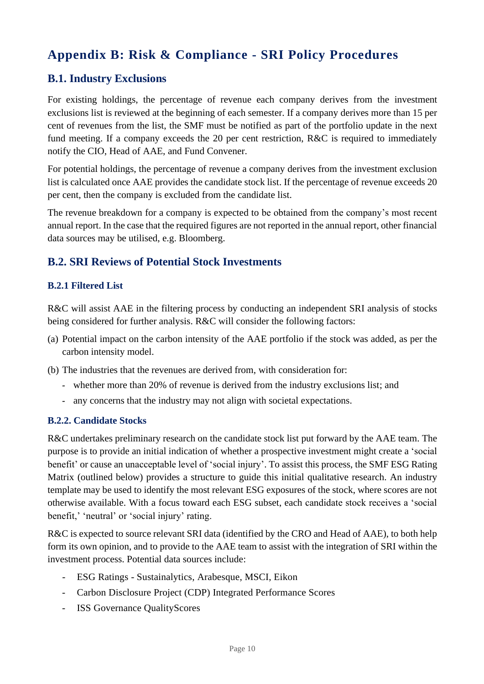# <span id="page-10-0"></span>**Appendix B: Risk & Compliance - SRI Policy Procedures**

## **B.1. Industry Exclusions**

For existing holdings, the percentage of revenue each company derives from the investment exclusions list is reviewed at the beginning of each semester. If a company derives more than 15 per cent of revenues from the list, the SMF must be notified as part of the portfolio update in the next fund meeting. If a company exceeds the 20 per cent restriction, R&C is required to immediately notify the CIO, Head of AAE, and Fund Convener.

For potential holdings, the percentage of revenue a company derives from the investment exclusion list is calculated once AAE provides the candidate stock list. If the percentage of revenue exceeds 20 per cent, then the company is excluded from the candidate list.

The revenue breakdown for a company is expected to be obtained from the company's most recent annual report. In the case that the required figures are not reported in the annual report, other financial data sources may be utilised, e.g. Bloomberg.

## **B.2. SRI Reviews of Potential Stock Investments**

#### **B.2.1 Filtered List**

R&C will assist AAE in the filtering process by conducting an independent SRI analysis of stocks being considered for further analysis. R&C will consider the following factors:

- (a) Potential impact on the carbon intensity of the AAE portfolio if the stock was added, as per the carbon intensity model.
- (b) The industries that the revenues are derived from, with consideration for:
	- *-* whether more than 20% of revenue is derived from the industry exclusions list; and
	- *-* any concerns that the industry may not align with societal expectations.

#### **B.2.2. Candidate Stocks**

R&C undertakes preliminary research on the candidate stock list put forward by the AAE team. The purpose is to provide an initial indication of whether a prospective investment might create a 'social benefit' or cause an unacceptable level of 'social injury'. To assist this process, the SMF ESG Rating Matrix (outlined below) provides a structure to guide this initial qualitative research. An industry template may be used to identify the most relevant ESG exposures of the stock, where scores are not otherwise available. With a focus toward each ESG subset, each candidate stock receives a 'social benefit,' 'neutral' or 'social injury' rating.

R&C is expected to source relevant SRI data (identified by the CRO and Head of AAE), to both help form its own opinion, and to provide to the AAE team to assist with the integration of SRI within the investment process. Potential data sources include:

- ESG Ratings Sustainalytics, Arabesque, MSCI, Eikon
- Carbon Disclosure Project (CDP) Integrated Performance Scores
- ISS Governance QualityScores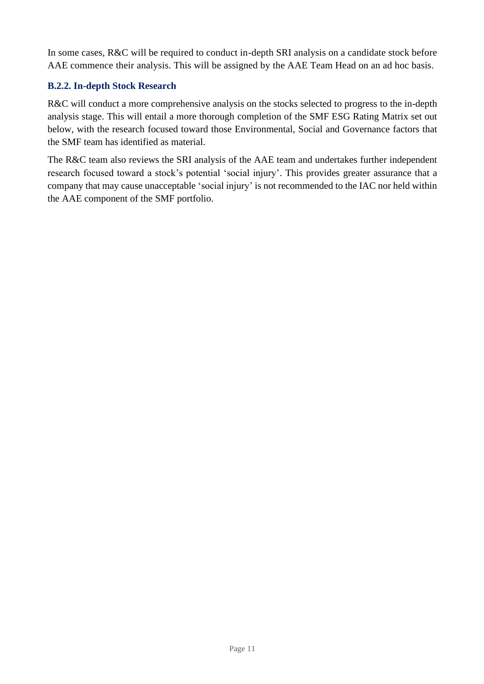In some cases, R&C will be required to conduct in-depth SRI analysis on a candidate stock before AAE commence their analysis. This will be assigned by the AAE Team Head on an ad hoc basis.

#### **B.2.2. In-depth Stock Research**

R&C will conduct a more comprehensive analysis on the stocks selected to progress to the in-depth analysis stage. This will entail a more thorough completion of the SMF ESG Rating Matrix set out below, with the research focused toward those Environmental, Social and Governance factors that the SMF team has identified as material.

The R&C team also reviews the SRI analysis of the AAE team and undertakes further independent research focused toward a stock's potential 'social injury'. This provides greater assurance that a company that may cause unacceptable 'social injury' is not recommended to the IAC nor held within the AAE component of the SMF portfolio.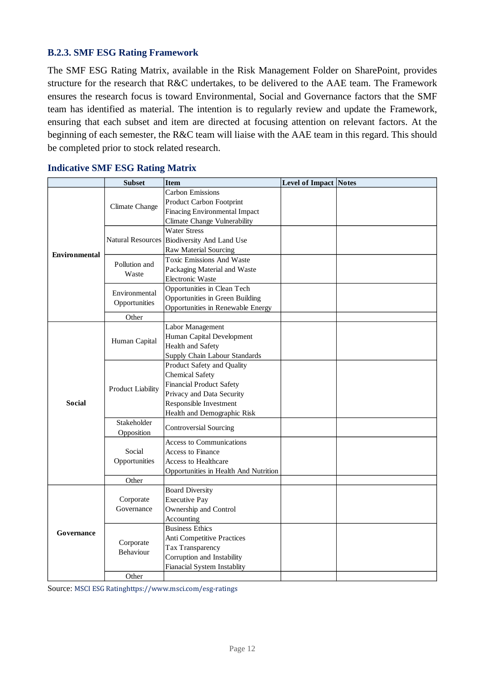#### **B.2.3. SMF ESG Rating Framework**

The SMF ESG Rating Matrix, available in the Risk Management Folder on SharePoint, provides structure for the research that R&C undertakes, to be delivered to the AAE team. The Framework ensures the research focus is toward Environmental, Social and Governance factors that the SMF team has identified as material. The intention is to regularly review and update the Framework, ensuring that each subset and item are directed at focusing attention on relevant factors. At the beginning of each semester, the R&C team will liaise with the AAE team in this regard. This should be completed prior to stock related research.

|                      | <b>Subset</b>                 | <b>Item</b>                           | <b>Level of Impact Notes</b> |  |
|----------------------|-------------------------------|---------------------------------------|------------------------------|--|
|                      |                               | <b>Carbon Emissions</b>               |                              |  |
|                      |                               | Product Carbon Footprint              |                              |  |
|                      | Climate Change                | Finacing Environmental Impact         |                              |  |
|                      |                               | <b>Climate Change Vulnerability</b>   |                              |  |
|                      |                               | <b>Water Stress</b>                   |                              |  |
|                      | <b>Natural Resources</b>      | <b>Biodiversity And Land Use</b>      |                              |  |
| <b>Environmental</b> |                               | <b>Raw Material Sourcing</b>          |                              |  |
|                      | Pollution and                 | <b>Toxic Emissions And Waste</b>      |                              |  |
|                      | Waste                         | Packaging Material and Waste          |                              |  |
|                      |                               | Electronic Waste                      |                              |  |
|                      | Environmental                 | Opportunities in Clean Tech           |                              |  |
|                      | Opportunities                 | Opportunities in Green Building       |                              |  |
|                      |                               | Opportunities in Renewable Energy     |                              |  |
|                      | Other                         |                                       |                              |  |
|                      |                               | Labor Management                      |                              |  |
|                      | Human Capital                 | Human Capital Development             |                              |  |
|                      |                               | Health and Safety                     |                              |  |
|                      |                               | Supply Chain Labour Standards         |                              |  |
|                      |                               | Product Safety and Quality            |                              |  |
|                      |                               | <b>Chemical Safety</b>                |                              |  |
|                      | <b>Product Liability</b>      | <b>Financial Product Safety</b>       |                              |  |
|                      |                               | Privacy and Data Security             |                              |  |
| <b>Social</b>        |                               | Responsible Investment                |                              |  |
|                      |                               | Health and Demographic Risk           |                              |  |
|                      | Stakeholder                   | <b>Controversial Sourcing</b>         |                              |  |
|                      | Opposition                    |                                       |                              |  |
|                      | Social                        | <b>Access to Communications</b>       |                              |  |
|                      |                               | <b>Access to Finance</b>              |                              |  |
|                      | Opportunities                 | <b>Access to Healthcare</b>           |                              |  |
|                      | Other                         | Opportunities in Health And Nutrition |                              |  |
|                      |                               | <b>Board Diversity</b>                |                              |  |
|                      | Corporate                     | <b>Executive Pay</b>                  |                              |  |
|                      | Governance                    | Ownership and Control                 |                              |  |
|                      |                               | Accounting                            |                              |  |
|                      |                               | <b>Business Ethics</b>                |                              |  |
| Governance           | Corporate<br><b>Behaviour</b> | Anti Competitive Practices            |                              |  |
|                      |                               | Tax Transparency                      |                              |  |
|                      |                               | Corruption and Instability            |                              |  |
|                      |                               | Fianacial System Instablity           |                              |  |
|                      | Other                         |                                       |                              |  |
|                      |                               |                                       |                              |  |

#### **Indicative SMF ESG Rating Matrix**

Source: MSCI ESG Ratinghttps://www.msci.com/esg-ratings MSCI ESG Ratinghttps://www.msci.com/esg-ratings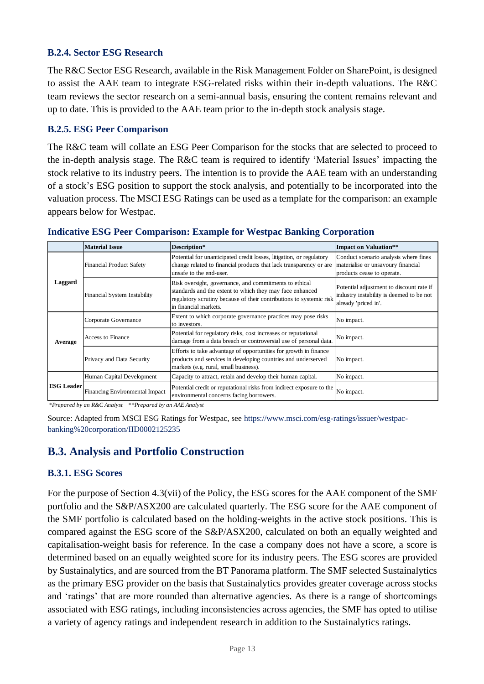#### **B.2.4. Sector ESG Research**

The R&C Sector ESG Research, available in the Risk Management Folder on SharePoint, is designed to assist the AAE team to integrate ESG-related risks within their in-depth valuations. The R&C team reviews the sector research on a semi-annual basis, ensuring the content remains relevant and up to date. This is provided to the AAE team prior to the in-depth stock analysis stage.

#### **B.2.5. ESG Peer Comparison**

The R&C team will collate an ESG Peer Comparison for the stocks that are selected to proceed to the in-depth analysis stage. The R&C team is required to identify 'Material Issues' impacting the stock relative to its industry peers. The intention is to provide the AAE team with an understanding of a stock's ESG position to support the stock analysis, and potentially to be incorporated into the valuation process. The MSCI ESG Ratings can be used as a template for the comparison: an example appears below for Westpac.

|                   | <b>Material Issue</b>               | Description*                                                                                                                                                                                                       | <b>Impact on Valuation**</b>                                                                                 |
|-------------------|-------------------------------------|--------------------------------------------------------------------------------------------------------------------------------------------------------------------------------------------------------------------|--------------------------------------------------------------------------------------------------------------|
| Laggard           | <b>Financial Product Safety</b>     | Potential for unanticipated credit losses, litigation, or regulatory<br>change related to financial products that lack transparency or are<br>unsafe to the end-user.                                              | Conduct scenario analysis where fines<br>materialise or unsavoury financial<br>products cease to operate.    |
|                   | <b>Financial System Instability</b> | Risk oversight, governance, and commitments to ethical<br>standards and the extent to which they may face enhanced<br>regulatory scrutiny because of their contributions to systemic risk<br>in financial markets. | Potential adjustment to discount rate if<br>industry instability is deemed to be not<br>already 'priced in'. |
|                   | Corporate Governance                | Extent to which corporate governance practices may pose risks<br>to investors.                                                                                                                                     | No impact.                                                                                                   |
| Average           | Access to Finance                   | Potential for regulatory risks, cost increases or reputational<br>damage from a data breach or controversial use of personal data.                                                                                 | No impact.                                                                                                   |
|                   | Privacy and Data Security           | Efforts to take advantage of opportunities for growth in finance<br>products and services in developing countries and underserved<br>markets (e.g. rural, small business).                                         | No impact.                                                                                                   |
| <b>ESG Leader</b> | Human Capital Development           | Capacity to attract, retain and develop their human capital.                                                                                                                                                       | No impact.                                                                                                   |
|                   | Financing Environmental Impact      | Potential credit or reputational risks from indirect exposure to the<br>environmental concerns facing borrowers.                                                                                                   | No impact.                                                                                                   |

#### **Indicative ESG Peer Comparison: Example for Westpac Banking Corporation**

*\*Prepared by an R&C Analyst \*\*Prepared by an AAE Analyst*

Source: Adapted from MSCI ESG Ratings for Westpac, see [https://www.msci.com/esg-ratings/issuer/westpac](https://www.msci.com/esg-ratings/issuer/westpac-banking%20corporation/IID0002125235)[banking%20corporation/IID0002125235](https://www.msci.com/esg-ratings/issuer/westpac-banking%20corporation/IID0002125235)

## **B.3. Analysis and Portfolio Construction**

#### **B.3.1. ESG Scores**

For the purpose of Section 4.3(vii) of the Policy, the ESG scores for the AAE component of the SMF portfolio and the S&P/ASX200 are calculated quarterly. The ESG score for the AAE component of the SMF portfolio is calculated based on the holding-weights in the active stock positions. This is compared against the ESG score of the S&P/ASX200, calculated on both an equally weighted and capitalisation-weight basis for reference. In the case a company does not have a score, a score is determined based on an equally weighted score for its industry peers. The ESG scores are provided by Sustainalytics, and are sourced from the BT Panorama platform. The SMF selected Sustainalytics as the primary ESG provider on the basis that Sustainalytics provides greater coverage across stocks and 'ratings' that are more rounded than alternative agencies. As there is a range of shortcomings associated with ESG ratings, including inconsistencies across agencies, the SMF has opted to utilise a variety of agency ratings and independent research in addition to the Sustainalytics ratings.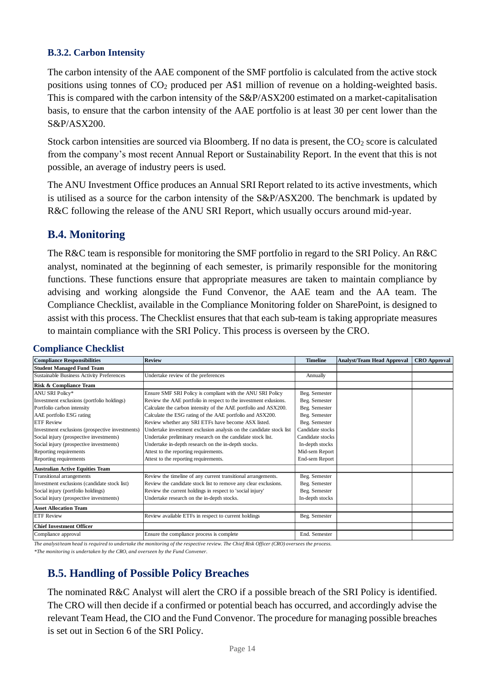#### **B.3.2. Carbon Intensity**

The carbon intensity of the AAE component of the SMF portfolio is calculated from the active stock positions using tonnes of CO<sup>2</sup> produced per A\$1 million of revenue on a holding-weighted basis. This is compared with the carbon intensity of the S&P/ASX200 estimated on a market-capitalisation basis, to ensure that the carbon intensity of the AAE portfolio is at least 30 per cent lower than the  $S\&P/ASX200$ 

Stock carbon intensities are sourced via Bloomberg. If no data is present, the  $CO<sub>2</sub>$  score is calculated from the company's most recent Annual Report or Sustainability Report. In the event that this is not possible, an average of industry peers is used.

The ANU Investment Office produces an Annual SRI Report related to its active investments, which is utilised as a source for the carbon intensity of the S&P/ASX200. The benchmark is updated by R&C following the release of the ANU SRI Report, which usually occurs around mid-year.

## **B.4. Monitoring**

The R&C team is responsible for monitoring the SMF portfolio in regard to the SRI Policy. An R&C analyst, nominated at the beginning of each semester, is primarily responsible for the monitoring functions. These functions ensure that appropriate measures are taken to maintain compliance by advising and working alongside the Fund Convenor, the AAE team and the AA team. The Compliance Checklist, available in the Compliance Monitoring folder on SharePoint, is designed to assist with this process. The Checklist ensures that that each sub-team is taking appropriate measures to maintain compliance with the SRI Policy. This process is overseen by the CRO.

| <b>Compliance Responsibilities</b>              | <b>Review</b>                                                       | <b>Timeline</b>  | <b>Analyst/Team Head Approval</b> | <b>CRO</b> Approval |
|-------------------------------------------------|---------------------------------------------------------------------|------------------|-----------------------------------|---------------------|
| <b>Student Managed Fund Team</b>                |                                                                     |                  |                                   |                     |
| Sustainable Business Activity Preferences       | Undertake review of the preferences                                 | Annually         |                                   |                     |
| Risk & Compliance Team                          |                                                                     |                  |                                   |                     |
| ANU SRI Policy*                                 | Ensure SMF SRI Policy is compliant with the ANU SRI Policy          | Beg. Semester    |                                   |                     |
| Investment exclusions (portfolio holdings)      | Review the AAE portfolio in respect to the investment exlusions.    | Beg. Semester    |                                   |                     |
| Portfolio carbon intensity                      | Calculate the carbon intensity of the AAE portfolio and ASX200.     | Beg. Semester    |                                   |                     |
| AAE portfolio ESG rating                        | Calculate the ESG rating of the AAE portfolio and ASX200.           | Beg. Semester    |                                   |                     |
| <b>ETF Review</b>                               | Review whether any SRI ETFs have become ASX listed.                 | Beg. Semester    |                                   |                     |
| Investment exclusions (prospective investments) | Undertake investment exclusion analysis on the candidate stock list | Candidate stocks |                                   |                     |
| Social injury (prospective investments)         | Undertake preliminary research on the candidate stock list.         | Candidate stocks |                                   |                     |
| Social injury (prospective investments)         | Undertake in-depth research on the in-depth stocks.                 | In-depth stocks  |                                   |                     |
| Reporting requirements                          | Attest to the reporting requirements.                               | Mid-sem Report   |                                   |                     |
| Reporting requirements                          | Attest to the reporting requirements.                               | End-sem Report   |                                   |                     |
| <b>Australian Active Equities Team</b>          |                                                                     |                  |                                   |                     |
| Transitional arrangements                       | Review the timeline of any current transitional arrangements.       | Beg. Semester    |                                   |                     |
| Investment exclusions (candidate stock list)    | Review the candidate stock list to remove any clear exclusions.     | Beg. Semester    |                                   |                     |
| Social injury (portfolio holdings)              | Review the current holdings in respect to 'social injury'           | Beg. Semester    |                                   |                     |
| Social injury (prospective investments)         | Undertake research on the in-depth stocks.                          | In-depth stocks  |                                   |                     |
| <b>Asset Allocation Team</b>                    |                                                                     |                  |                                   |                     |
| <b>ETF Review</b>                               | Review available ETFs in respect to current holdings                | Beg. Semester    |                                   |                     |
| <b>Chief Investment Officer</b>                 |                                                                     |                  |                                   |                     |
| Compliance approval                             | Ensure the compliance process is complete                           | End. Semester    |                                   |                     |

#### **Compliance Checklist**

*The analyst/team head is required to undertake the monitoring of the respective review. The Chief Risk Officer (CRO) oversees the process. \*The monitoring is undertaken by the CRO, and overseen by the Fund Convener.*

**B.5. Handling of Possible Policy Breaches**

The nominated R&C Analyst will alert the CRO if a possible breach of the SRI Policy is identified. The CRO will then decide if a confirmed or potential beach has occurred, and accordingly advise the relevant Team Head, the CIO and the Fund Convenor. The procedure for managing possible breaches is set out in Section 6 of the SRI Policy.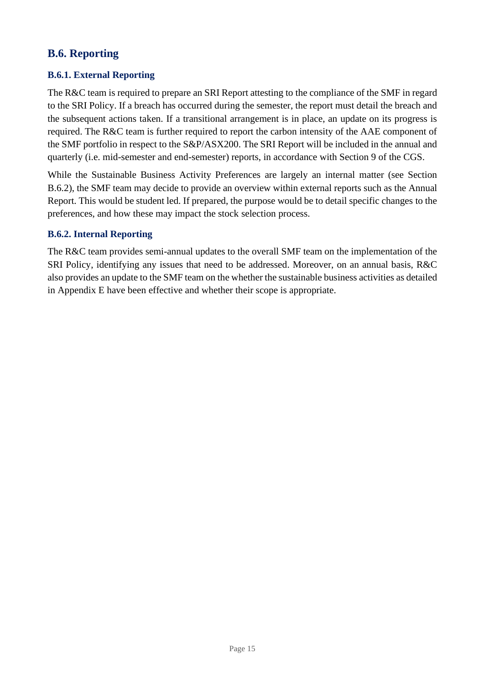## **B.6. Reporting**

#### **B.6.1. External Reporting**

The R&C team is required to prepare an SRI Report attesting to the compliance of the SMF in regard to the SRI Policy. If a breach has occurred during the semester, the report must detail the breach and the subsequent actions taken. If a transitional arrangement is in place, an update on its progress is required. The R&C team is further required to report the carbon intensity of the AAE component of the SMF portfolio in respect to the S&P/ASX200. The SRI Report will be included in the annual and quarterly (i.e. mid-semester and end-semester) reports, in accordance with Section 9 of the CGS.

While the Sustainable Business Activity Preferences are largely an internal matter (see Section B.6.2), the SMF team may decide to provide an overview within external reports such as the Annual Report. This would be student led. If prepared, the purpose would be to detail specific changes to the preferences, and how these may impact the stock selection process.

#### **B.6.2. Internal Reporting**

The R&C team provides semi-annual updates to the overall SMF team on the implementation of the SRI Policy, identifying any issues that need to be addressed. Moreover, on an annual basis, R&C also provides an update to the SMF team on the whether the sustainable business activities as detailed in Appendix E have been effective and whether their scope is appropriate.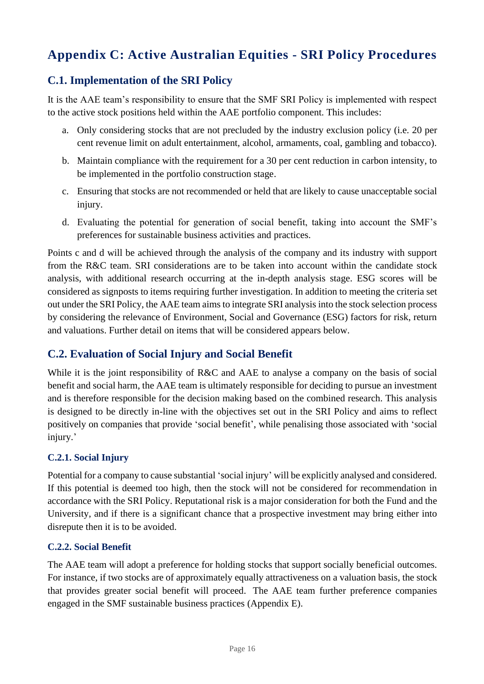# <span id="page-16-0"></span>**Appendix C: Active Australian Equities - SRI Policy Procedures**

## **C.1. Implementation of the SRI Policy**

It is the AAE team's responsibility to ensure that the SMF SRI Policy is implemented with respect to the active stock positions held within the AAE portfolio component. This includes:

- a. Only considering stocks that are not precluded by the industry exclusion policy (i.e. 20 per cent revenue limit on adult entertainment, alcohol, armaments, coal, gambling and tobacco).
- b. Maintain compliance with the requirement for a 30 per cent reduction in carbon intensity, to be implemented in the portfolio construction stage.
- c. Ensuring that stocks are not recommended or held that are likely to cause unacceptable social injury.
- d. Evaluating the potential for generation of social benefit, taking into account the SMF's preferences for sustainable business activities and practices.

Points c and d will be achieved through the analysis of the company and its industry with support from the R&C team. SRI considerations are to be taken into account within the candidate stock analysis, with additional research occurring at the in-depth analysis stage. ESG scores will be considered as signposts to items requiring further investigation. In addition to meeting the criteria set out under the SRI Policy, the AAE team aims to integrate SRI analysis into the stock selection process by considering the relevance of Environment, Social and Governance (ESG) factors for risk, return and valuations. Further detail on items that will be considered appears below.

## **C.2. Evaluation of Social Injury and Social Benefit**

While it is the joint responsibility of R&C and AAE to analyse a company on the basis of social benefit and social harm, the AAE team is ultimately responsible for deciding to pursue an investment and is therefore responsible for the decision making based on the combined research. This analysis is designed to be directly in-line with the objectives set out in the SRI Policy and aims to reflect positively on companies that provide 'social benefit', while penalising those associated with 'social injury.'

#### **C.2.1. Social Injury**

Potential for a company to cause substantial 'social injury' will be explicitly analysed and considered. If this potential is deemed too high, then the stock will not be considered for recommendation in accordance with the SRI Policy. Reputational risk is a major consideration for both the Fund and the University, and if there is a significant chance that a prospective investment may bring either into disrepute then it is to be avoided.

#### **C.2.2. Social Benefit**

The AAE team will adopt a preference for holding stocks that support socially beneficial outcomes. For instance, if two stocks are of approximately equally attractiveness on a valuation basis, the stock that provides greater social benefit will proceed. The AAE team further preference companies engaged in the SMF sustainable business practices (Appendix E).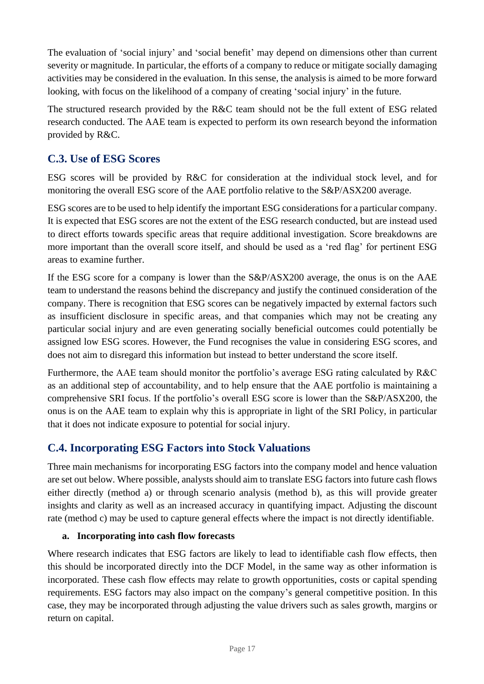The evaluation of 'social injury' and 'social benefit' may depend on dimensions other than current severity or magnitude. In particular, the efforts of a company to reduce or mitigate socially damaging activities may be considered in the evaluation. In this sense, the analysis is aimed to be more forward looking, with focus on the likelihood of a company of creating 'social injury' in the future.

The structured research provided by the R&C team should not be the full extent of ESG related research conducted. The AAE team is expected to perform its own research beyond the information provided by R&C.

## **C.3. Use of ESG Scores**

ESG scores will be provided by R&C for consideration at the individual stock level, and for monitoring the overall ESG score of the AAE portfolio relative to the S&P/ASX200 average.

ESG scores are to be used to help identify the important ESG considerations for a particular company. It is expected that ESG scores are not the extent of the ESG research conducted, but are instead used to direct efforts towards specific areas that require additional investigation. Score breakdowns are more important than the overall score itself, and should be used as a 'red flag' for pertinent ESG areas to examine further.

If the ESG score for a company is lower than the S&P/ASX200 average, the onus is on the AAE team to understand the reasons behind the discrepancy and justify the continued consideration of the company. There is recognition that ESG scores can be negatively impacted by external factors such as insufficient disclosure in specific areas, and that companies which may not be creating any particular social injury and are even generating socially beneficial outcomes could potentially be assigned low ESG scores. However, the Fund recognises the value in considering ESG scores, and does not aim to disregard this information but instead to better understand the score itself.

Furthermore, the AAE team should monitor the portfolio's average ESG rating calculated by R&C as an additional step of accountability, and to help ensure that the AAE portfolio is maintaining a comprehensive SRI focus. If the portfolio's overall ESG score is lower than the S&P/ASX200, the onus is on the AAE team to explain why this is appropriate in light of the SRI Policy, in particular that it does not indicate exposure to potential for social injury.

## **C.4. Incorporating ESG Factors into Stock Valuations**

Three main mechanisms for incorporating ESG factors into the company model and hence valuation are set out below. Where possible, analysts should aim to translate ESG factors into future cash flows either directly (method a) or through scenario analysis (method b), as this will provide greater insights and clarity as well as an increased accuracy in quantifying impact. Adjusting the discount rate (method c) may be used to capture general effects where the impact is not directly identifiable.

#### **a. Incorporating into cash flow forecasts**

Where research indicates that ESG factors are likely to lead to identifiable cash flow effects, then this should be incorporated directly into the DCF Model, in the same way as other information is incorporated. These cash flow effects may relate to growth opportunities, costs or capital spending requirements. ESG factors may also impact on the company's general competitive position. In this case, they may be incorporated through adjusting the value drivers such as sales growth, margins or return on capital.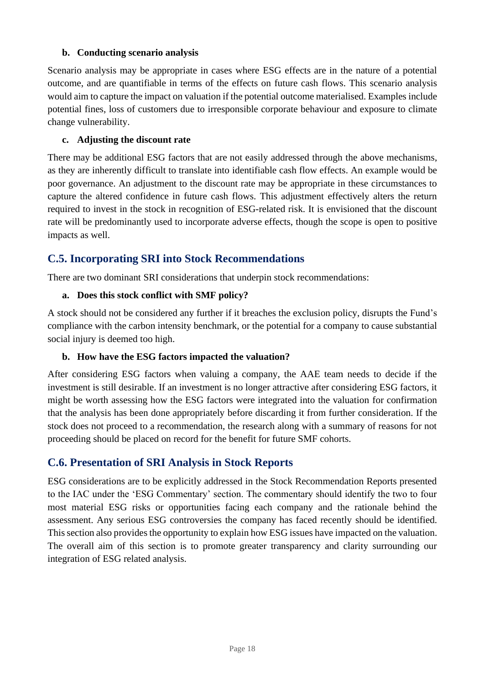#### **b. Conducting scenario analysis**

Scenario analysis may be appropriate in cases where ESG effects are in the nature of a potential outcome, and are quantifiable in terms of the effects on future cash flows. This scenario analysis would aim to capture the impact on valuation if the potential outcome materialised. Examples include potential fines, loss of customers due to irresponsible corporate behaviour and exposure to climate change vulnerability.

#### **c. Adjusting the discount rate**

There may be additional ESG factors that are not easily addressed through the above mechanisms, as they are inherently difficult to translate into identifiable cash flow effects. An example would be poor governance. An adjustment to the discount rate may be appropriate in these circumstances to capture the altered confidence in future cash flows. This adjustment effectively alters the return required to invest in the stock in recognition of ESG-related risk. It is envisioned that the discount rate will be predominantly used to incorporate adverse effects, though the scope is open to positive impacts as well.

## **C.5. Incorporating SRI into Stock Recommendations**

There are two dominant SRI considerations that underpin stock recommendations:

#### **a. Does this stock conflict with SMF policy?**

A stock should not be considered any further if it breaches the exclusion policy, disrupts the Fund's compliance with the carbon intensity benchmark, or the potential for a company to cause substantial social injury is deemed too high.

#### **b. How have the ESG factors impacted the valuation?**

After considering ESG factors when valuing a company, the AAE team needs to decide if the investment is still desirable. If an investment is no longer attractive after considering ESG factors, it might be worth assessing how the ESG factors were integrated into the valuation for confirmation that the analysis has been done appropriately before discarding it from further consideration. If the stock does not proceed to a recommendation, the research along with a summary of reasons for not proceeding should be placed on record for the benefit for future SMF cohorts.

## **C.6. Presentation of SRI Analysis in Stock Reports**

ESG considerations are to be explicitly addressed in the Stock Recommendation Reports presented to the IAC under the 'ESG Commentary' section. The commentary should identify the two to four most material ESG risks or opportunities facing each company and the rationale behind the assessment. Any serious ESG controversies the company has faced recently should be identified. This section also provides the opportunity to explain how ESG issues have impacted on the valuation. The overall aim of this section is to promote greater transparency and clarity surrounding our integration of ESG related analysis.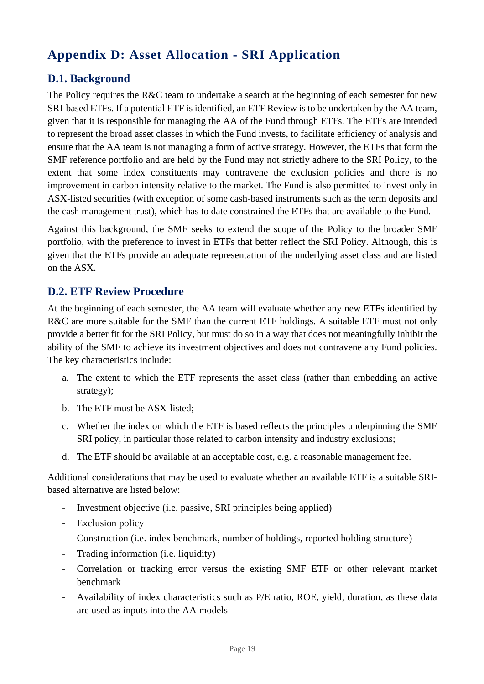# <span id="page-19-0"></span>**Appendix D: Asset Allocation - SRI Application**

## **D.1. Background**

The Policy requires the R&C team to undertake a search at the beginning of each semester for new SRI-based ETFs. If a potential ETF is identified, an ETF Review is to be undertaken by the AA team, given that it is responsible for managing the AA of the Fund through ETFs. The ETFs are intended to represent the broad asset classes in which the Fund invests, to facilitate efficiency of analysis and ensure that the AA team is not managing a form of active strategy. However, the ETFs that form the SMF reference portfolio and are held by the Fund may not strictly adhere to the SRI Policy, to the extent that some index constituents may contravene the exclusion policies and there is no improvement in carbon intensity relative to the market. The Fund is also permitted to invest only in ASX-listed securities (with exception of some cash-based instruments such as the term deposits and the cash management trust), which has to date constrained the ETFs that are available to the Fund.

Against this background, the SMF seeks to extend the scope of the Policy to the broader SMF portfolio, with the preference to invest in ETFs that better reflect the SRI Policy. Although, this is given that the ETFs provide an adequate representation of the underlying asset class and are listed on the ASX.

## **D.2. ETF Review Procedure**

At the beginning of each semester, the AA team will evaluate whether any new ETFs identified by R&C are more suitable for the SMF than the current ETF holdings. A suitable ETF must not only provide a better fit for the SRI Policy, but must do so in a way that does not meaningfully inhibit the ability of the SMF to achieve its investment objectives and does not contravene any Fund policies. The key characteristics include:

- a. The extent to which the ETF represents the asset class (rather than embedding an active strategy);
- b. The ETF must be ASX-listed;
- c. Whether the index on which the ETF is based reflects the principles underpinning the SMF SRI policy, in particular those related to carbon intensity and industry exclusions;
- d. The ETF should be available at an acceptable cost, e.g. a reasonable management fee.

Additional considerations that may be used to evaluate whether an available ETF is a suitable SRIbased alternative are listed below:

- Investment objective (i.e. passive, SRI principles being applied)
- Exclusion policy
- Construction (i.e. index benchmark, number of holdings, reported holding structure)
- Trading information (i.e. liquidity)
- Correlation or tracking error versus the existing SMF ETF or other relevant market benchmark
- Availability of index characteristics such as P/E ratio, ROE, yield, duration, as these data are used as inputs into the AA models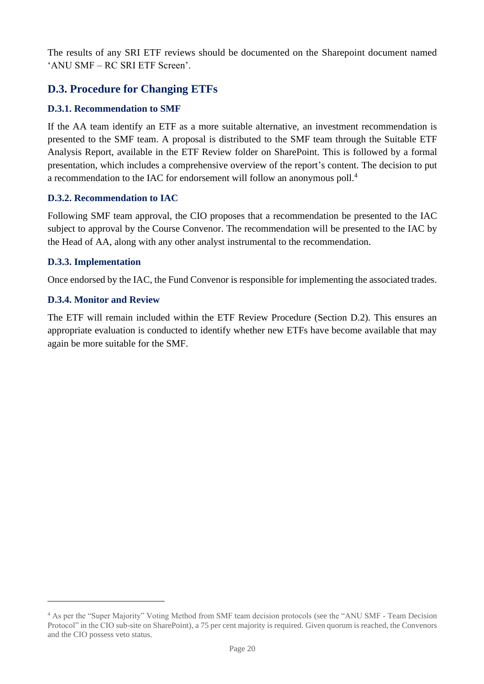The results of any SRI ETF reviews should be documented on the Sharepoint document named 'ANU SMF – RC SRI ETF Screen'.

## **D.3. Procedure for Changing ETFs**

#### **D.3.1. Recommendation to SMF**

If the AA team identify an ETF as a more suitable alternative, an investment recommendation is presented to the SMF team. A proposal is distributed to the SMF team through the Suitable ETF Analysis Report, available in the ETF Review folder on SharePoint. This is followed by a formal presentation, which includes a comprehensive overview of the report's content. The decision to put a recommendation to the IAC for endorsement will follow an anonymous poll.<sup>4</sup>

#### **D.3.2. Recommendation to IAC**

Following SMF team approval, the CIO proposes that a recommendation be presented to the IAC subject to approval by the Course Convenor. The recommendation will be presented to the IAC by the Head of AA, along with any other analyst instrumental to the recommendation.

#### **D.3.3. Implementation**

Once endorsed by the IAC, the Fund Convenor is responsible for implementing the associated trades.

#### **D.3.4. Monitor and Review**

The ETF will remain included within the ETF Review Procedure (Section D.2). This ensures an appropriate evaluation is conducted to identify whether new ETFs have become available that may again be more suitable for the SMF.

<sup>4</sup> As per the "Super Majority" Voting Method from SMF team decision protocols (see the "ANU SMF - Team Decision Protocol" in the CIO sub-site on SharePoint), a 75 per cent majority is required. Given quorum is reached, the Convenors and the CIO possess veto status.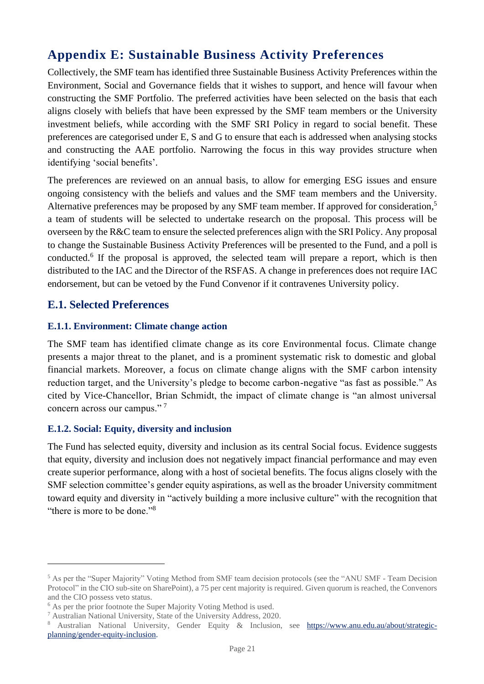# <span id="page-21-0"></span>**Appendix E: Sustainable Business Activity Preferences**

Collectively, the SMF team has identified three Sustainable Business Activity Preferences within the Environment, Social and Governance fields that it wishes to support, and hence will favour when constructing the SMF Portfolio. The preferred activities have been selected on the basis that each aligns closely with beliefs that have been expressed by the SMF team members or the University investment beliefs, while according with the SMF SRI Policy in regard to social benefit. These preferences are categorised under E, S and G to ensure that each is addressed when analysing stocks and constructing the AAE portfolio. Narrowing the focus in this way provides structure when identifying 'social benefits'.

The preferences are reviewed on an annual basis, to allow for emerging ESG issues and ensure ongoing consistency with the beliefs and values and the SMF team members and the University. Alternative preferences may be proposed by any SMF team member. If approved for consideration,<sup>5</sup> a team of students will be selected to undertake research on the proposal. This process will be overseen by the R&C team to ensure the selected preferences align with the SRI Policy. Any proposal to change the Sustainable Business Activity Preferences will be presented to the Fund, and a poll is conducted.<sup>6</sup> If the proposal is approved, the selected team will prepare a report, which is then distributed to the IAC and the Director of the RSFAS. A change in preferences does not require IAC endorsement, but can be vetoed by the Fund Convenor if it contravenes University policy.

#### **E.1. Selected Preferences**

#### **E.1.1. Environment: Climate change action**

The SMF team has identified climate change as its core Environmental focus. Climate change presents a major threat to the planet, and is a prominent systematic risk to domestic and global financial markets. Moreover, a focus on climate change aligns with the SMF carbon intensity reduction target, and the University's pledge to become carbon-negative "as fast as possible." As cited by Vice-Chancellor, Brian Schmidt, the impact of climate change is "an almost universal concern across our campus." <sup>7</sup>

#### **E.1.2. Social: Equity, diversity and inclusion**

The Fund has selected equity, diversity and inclusion as its central Social focus. Evidence suggests that equity, diversity and inclusion does not negatively impact financial performance and may even create superior performance, along with a host of societal benefits. The focus aligns closely with the SMF selection committee's gender equity aspirations, as well as the broader University commitment toward equity and diversity in "actively building a more inclusive culture" with the recognition that "there is more to be done."<sup>8</sup>

<sup>5</sup> As per the "Super Majority" Voting Method from SMF team decision protocols (see the "ANU SMF - Team Decision Protocol" in the CIO sub-site on SharePoint), a 75 per cent majority is required. Given quorum is reached, the Convenors and the CIO possess veto status.

 $<sup>6</sup>$  As per the prior footnote the Super Majority Voting Method is used.</sup>

<sup>7</sup> Australian National University, State of the University Address, 2020.

<sup>8</sup> Australian National University, Gender Equity & Inclusion, see [https://www.anu.edu.au/about/strategic](https://www.anu.edu.au/about/strategic-planning/gender-equity-inclusion)[planning/gender-equity-inclusion.](https://www.anu.edu.au/about/strategic-planning/gender-equity-inclusion)